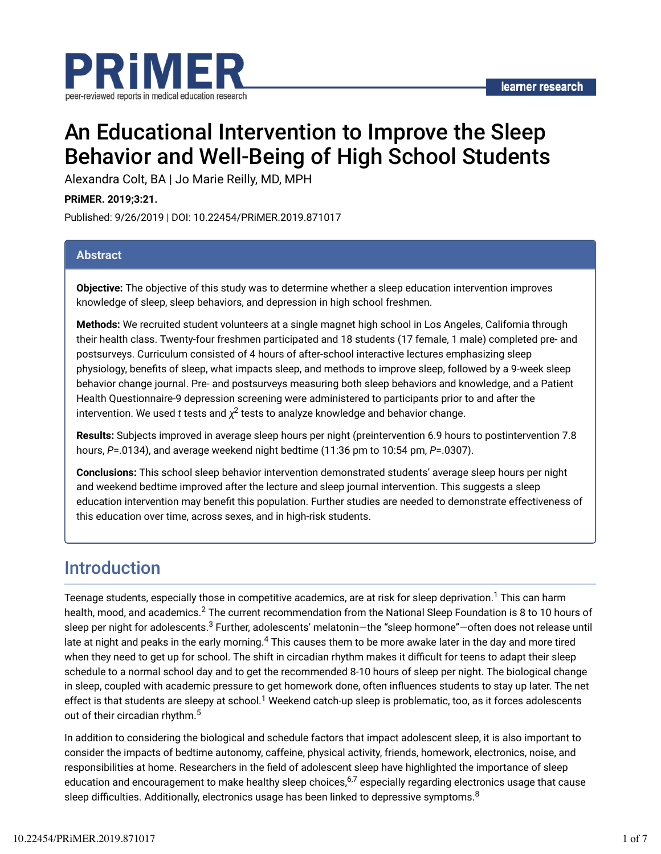

# An Educational Intervention to Improve the Sleep Behavior and Well-Being of High School Students

Alexandra Colt, BA | Jo Marie Reilly, MD, MPH

**PRiMER. 2019;3:21.**

Published: 9/26/2019 | DOI: 10.22454/PRiMER.2019.871017

#### **Abstract**

**Objective:** The objective of this study was to determine whether a sleep education intervention improves knowledge of sleep, sleep behaviors, and depression in high school freshmen.

**Methods:** We recruited student volunteers at a single magnet high school in Los Angeles, California through their health class. Twenty-four freshmen participated and 18 students (17 female, 1 male) completed pre- and postsurveys. Curriculum consisted of 4 hours of after-school interactive lectures emphasizing sleep physiology, benefits of sleep, what impacts sleep, and methods to improve sleep, followed by a 9-week sleep behavior change journal. Pre- and postsurveys measuring both sleep behaviors and knowledge, and a Patient Health Questionnaire-9 depression screening were administered to participants prior to and after the intervention. We used  $t$  tests and  $\chi^2$  tests to analyze knowledge and behavior change.

**Results:** Subjects improved in average sleep hours per night (preintervention 6.9 hours to postintervention 7.8 hours, *P*=.0134), and average weekend night bedtime (11:36 pm to 10:54 pm, *P*=.0307).

**Conclusions:** This school sleep behavior intervention demonstrated students' average sleep hours per night and weekend bedtime improved after the lecture and sleep journal intervention. This suggests a sleep education intervention may benefit this population. Further studies are needed to demonstrate effectiveness of this education over time, across sexes, and in high-risk students.

### Introduction

Teenage students, especially those in competitive academics, are at risk for sleep deprivation. $^1$  This can harm health, mood, and academics. $^2$  The current recommendation from the National Sleep Foundation is 8 to 10 hours of sleep per night for adolescents.<sup>3</sup> Further, adolescents' melatonin—the "sleep hormone"—often does not release until late at night and peaks in the early morning. $^4$  This causes them to be more awake later in the day and more tired when they need to get up for school. The shift in circadian rhythm makes it difficult for teens to adapt their sleep schedule to a normal school day and to get the recommended 8-10 hours of sleep per night. The biological change in sleep, coupled with academic pressure to get homework done, often inhuences students to stay up later. The net effect is that students are sleepy at school.<sup>1</sup> Weekend catch-up sleep is problematic, too, as it forces adolescents out of their circadian rhythm.<sup>5</sup>

In addition to considering the biological and schedule factors that impact adolescent sleep, it is also important to consider the impacts of bedtime autonomy, caffeine, physical activity, friends, homework, electronics, noise, and responsibilities at home. Researchers in the field of adolescent sleep have highlighted the importance of sleep education and encouragement to make healthy sleep choices,<sup>6,7</sup> especially regarding electronics usage that cause sleep difficulties. Additionally, electronics usage has been linked to depressive symptoms. $^8$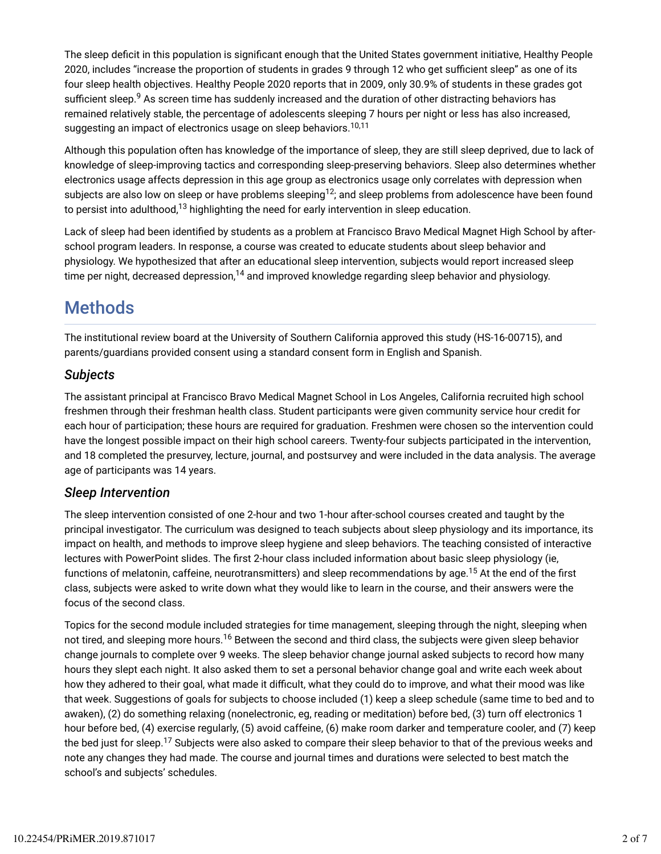The sleep deficit in this population is significant enough that the United States government initiative, Healthy People 2020, includes "increase the proportion of students in grades 9 through 12 who get sufficient sleep" as one of its four sleep health objectives. Healthy People 2020 reports that in 2009, only 30.9% of students in these grades got sufficient sleep. $^9$  As screen time has suddenly increased and the duration of other distracting behaviors has remained relatively stable, the percentage of adolescents sleeping 7 hours per night or less has also increased, suggesting an impact of electronics usage on sleep behaviors.<sup>10,11</sup>

Although this population often has knowledge of the importance of sleep, they are still sleep deprived, due to lack of knowledge of sleep-improving tactics and corresponding sleep-preserving behaviors. Sleep also determines whether electronics usage affects depression in this age group as electronics usage only correlates with depression when subjects are also low on sleep or have problems sleeping $^{12}$ ; and sleep problems from adolescence have been found to persist into adulthood, $^{13}$  highlighting the need for early intervention in sleep education.

Lack of sleep had been identified by students as a problem at Francisco Bravo Medical Magnet High School by afterschool program leaders. In response, a course was created to educate students about sleep behavior and physiology. We hypothesized that after an educational sleep intervention, subjects would report increased sleep time per night, decreased depression, $^{14}$  and improved knowledge regarding sleep behavior and physiology.

# Methods

The institutional review board at the University of Southern California approved this study (HS-16-00715), and parents/guardians provided consent using a standard consent form in English and Spanish.

#### *Subjects*

The assistant principal at Francisco Bravo Medical Magnet School in Los Angeles, California recruited high school freshmen through their freshman health class. Student participants were given community service hour credit for each hour of participation; these hours are required for graduation. Freshmen were chosen so the intervention could have the longest possible impact on their high school careers. Twenty-four subjects participated in the intervention, and 18 completed the presurvey, lecture, journal, and postsurvey and were included in the data analysis. The average age of participants was 14 years.

#### *Sleep Intervention*

The sleep intervention consisted of one 2-hour and two 1-hour after-school courses created and taught by the principal investigator. The curriculum was designed to teach subjects about sleep physiology and its importance, its impact on health, and methods to improve sleep hygiene and sleep behaviors. The teaching consisted of interactive lectures with PowerPoint slides. The first 2-hour class included information about basic sleep physiology (ie, functions of melatonin, caffeine, neurotransmitters) and sleep recommendations by age.<sup>15</sup> At the end of the first class, subjects were asked to write down what they would like to learn in the course, and their answers were the focus of the second class.

Topics for the second module included strategies for time management, sleeping through the night, sleeping when not tired, and sleeping more hours.<sup>16</sup> Between the second and third class, the subjects were given sleep behavior change journals to complete over 9 weeks. The sleep behavior change journal asked subjects to record how many hours they slept each night. It also asked them to set a personal behavior change goal and write each week about how they adhered to their goal, what made it difficult, what they could do to improve, and what their mood was like that week. Suggestions of goals for subjects to choose included (1) keep a sleep schedule (same time to bed and to awaken), (2) do something relaxing (nonelectronic, eg, reading or meditation) before bed, (3) turn off electronics 1 hour before bed, (4) exercise regularly, (5) avoid caffeine, (6) make room darker and temperature cooler, and (7) keep the bed just for sleep.<sup>17</sup> Subjects were also asked to compare their sleep behavior to that of the previous weeks and note any changes they had made. The course and journal times and durations were selected to best match the school's and subjects' schedules.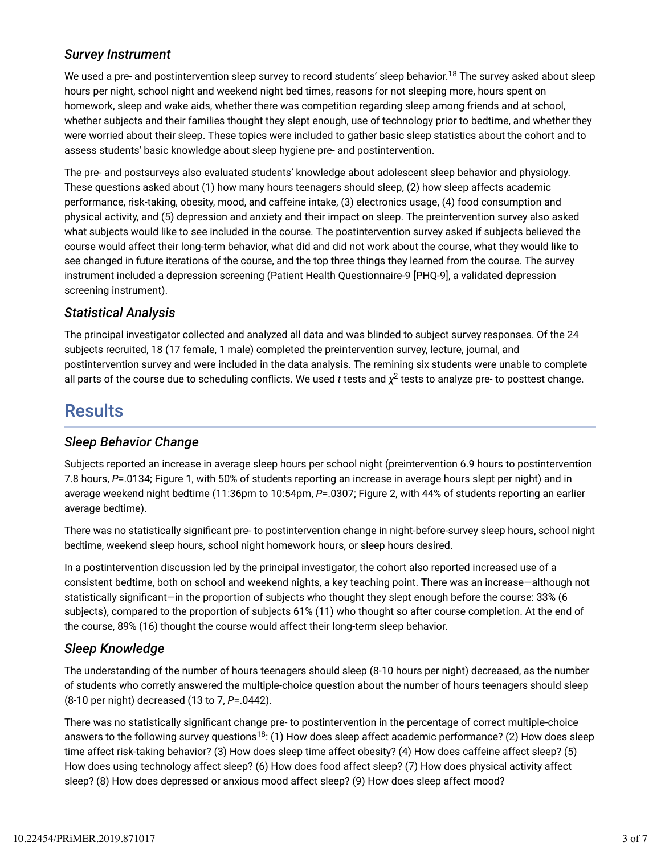### *Survey Instrument*

We used a pre- and postintervention sleep survey to record students' sleep behavior.<sup>18</sup> The survey asked about sleep hours per night, school night and weekend night bed times, reasons for not sleeping more, hours spent on homework, sleep and wake aids, whether there was competition regarding sleep among friends and at school, whether subjects and their families thought they slept enough, use of technology prior to bedtime, and whether they were worried about their sleep. These topics were included to gather basic sleep statistics about the cohort and to assess students' basic knowledge about sleep hygiene pre- and postintervention.

The pre- and postsurveys also evaluated students' knowledge about adolescent sleep behavior and physiology. These questions asked about (1) how many hours teenagers should sleep, (2) how sleep affects academic performance, risk-taking, obesity, mood, and caffeine intake, (3) electronics usage, (4) food consumption and physical activity, and (5) depression and anxiety and their impact on sleep. The preintervention survey also asked what subjects would like to see included in the course. The postintervention survey asked if subjects believed the course would affect their long-term behavior, what did and did not work about the course, what they would like to see changed in future iterations of the course, and the top three things they learned from the course. The survey instrument included a depression screening (Patient Health Questionnaire-9 [PHQ-9], a validated depression screening instrument).

### *Statistical Analysis*

The principal investigator collected and analyzed all data and was blinded to subject survey responses. Of the 24 subjects recruited, 18 (17 female, 1 male) completed the preintervention survey, lecture, journal, and postintervention survey and were included in the data analysis. The remining six students were unable to complete all parts of the course due to scheduling conflicts. We used  $t$  tests and  $\chi^2$  tests to analyze pre- to posttest change.

## **Results**

#### *Sleep Behavior Change*

Subjects reported an increase in average sleep hours per school night (preintervention 6.9 hours to postintervention 7.8 hours, *P*=.0134; Figure 1, with 50% of students reporting an increase in average hours slept per night) and in average weekend night bedtime (11:36pm to 10:54pm, *P*=.0307; Figure 2, with 44% of students reporting an earlier average bedtime).

There was no statistically significant pre- to postintervention change in night-before-survey sleep hours, school night bedtime, weekend sleep hours, school night homework hours, or sleep hours desired.

In a postintervention discussion led by the principal investigator, the cohort also reported increased use of a consistent bedtime, both on school and weekend nights, a key teaching point. There was an increase—although not statistically significant—in the proportion of subjects who thought they slept enough before the course: 33% (6 subjects), compared to the proportion of subjects 61% (11) who thought so after course completion. At the end of the course, 89% (16) thought the course would affect their long-term sleep behavior.

### *Sleep Knowledge*

The understanding of the number of hours teenagers should sleep (8-10 hours per night) decreased, as the number of students who corretly answered the multiple-choice question about the number of hours teenagers should sleep (8-10 per night) decreased (13 to 7, *P*=.0442).

There was no statistically significant change pre- to postintervention in the percentage of correct multiple-choice answers to the following survey questions<sup>18</sup>: (1) How does sleep affect academic performance? (2) How does sleep time affect risk-taking behavior? (3) How does sleep time affect obesity? (4) How does caffeine affect sleep? (5) How does using technology affect sleep? (6) How does food affect sleep? (7) How does physical activity affect sleep? (8) How does depressed or anxious mood affect sleep? (9) How does sleep affect mood?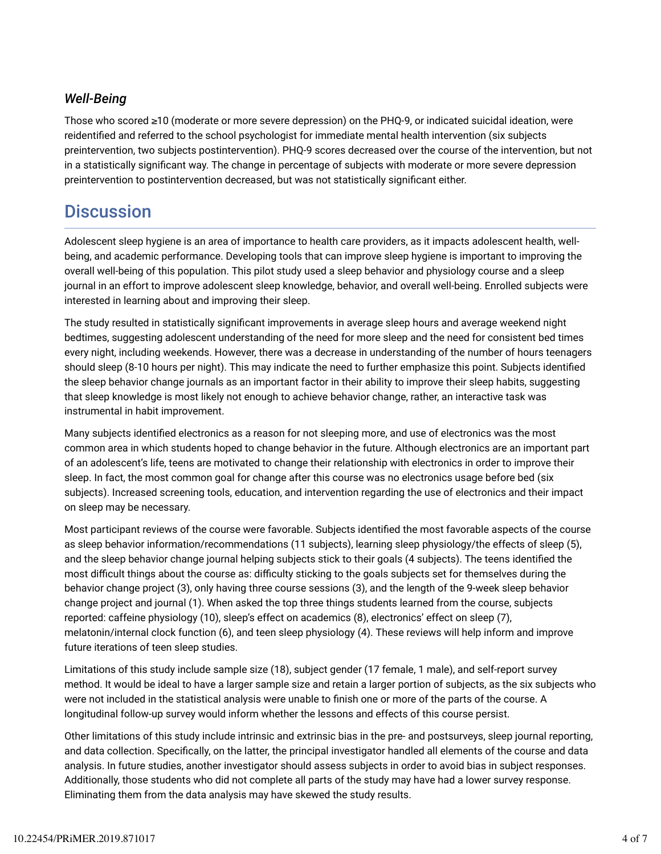### *Well-Being*

Those who scored ≥10 (moderate or more severe depression) on the PHQ-9, or indicated suicidal ideation, were reidentified and referred to the school psychologist for immediate mental health intervention (six subjects preintervention, two subjects postintervention). PHQ-9 scores decreased over the course of the intervention, but not in a statistically significant way. The change in percentage of subjects with moderate or more severe depression preintervention to postintervention decreased, but was not statistically significant either.

# **Discussion**

Adolescent sleep hygiene is an area of importance to health care providers, as it impacts adolescent health, wellbeing, and academic performance. Developing tools that can improve sleep hygiene is important to improving the overall well-being of this population. This pilot study used a sleep behavior and physiology course and a sleep journal in an effort to improve adolescent sleep knowledge, behavior, and overall well-being. Enrolled subjects were interested in learning about and improving their sleep.

The study resulted in statistically significant improvements in average sleep hours and average weekend night bedtimes, suggesting adolescent understanding of the need for more sleep and the need for consistent bed times every night, including weekends. However, there was a decrease in understanding of the number of hours teenagers should sleep (8-10 hours per night). This may indicate the need to further emphasize this point. Subjects identified the sleep behavior change journals as an important factor in their ability to improve their sleep habits, suggesting that sleep knowledge is most likely not enough to achieve behavior change, rather, an interactive task was instrumental in habit improvement.

Many subjects identified electronics as a reason for not sleeping more, and use of electronics was the most common area in which students hoped to change behavior in the future. Although electronics are an important part of an adolescent's life, teens are motivated to change their relationship with electronics in order to improve their sleep. In fact, the most common goal for change after this course was no electronics usage before bed (six subjects). Increased screening tools, education, and intervention regarding the use of electronics and their impact on sleep may be necessary.

Most participant reviews of the course were favorable. Subjects identified the most favorable aspects of the course as sleep behavior information/recommendations (11 subjects), learning sleep physiology/the effects of sleep (5), and the sleep behavior change journal helping subjects stick to their goals (4 subjects). The teens identified the most difficult things about the course as: difficulty sticking to the goals subjects set for themselves during the behavior change project (3), only having three course sessions (3), and the length of the 9-week sleep behavior change project and journal (1). When asked the top three things students learned from the course, subjects reported: caffeine physiology (10), sleep's effect on academics (8), electronics' effect on sleep (7), melatonin/internal clock function (6), and teen sleep physiology (4). These reviews will help inform and improve future iterations of teen sleep studies.

Limitations of this study include sample size (18), subject gender (17 female, 1 male), and self-report survey method. It would be ideal to have a larger sample size and retain a larger portion of subjects, as the six subjects who were not included in the statistical analysis were unable to finish one or more of the parts of the course. A longitudinal follow-up survey would inform whether the lessons and effects of this course persist.

Other limitations of this study include intrinsic and extrinsic bias in the pre- and postsurveys, sleep journal reporting, and data collection. Specifically, on the latter, the principal investigator handled all elements of the course and data analysis. In future studies, another investigator should assess subjects in order to avoid bias in subject responses. Additionally, those students who did not complete all parts of the study may have had a lower survey response. Eliminating them from the data analysis may have skewed the study results.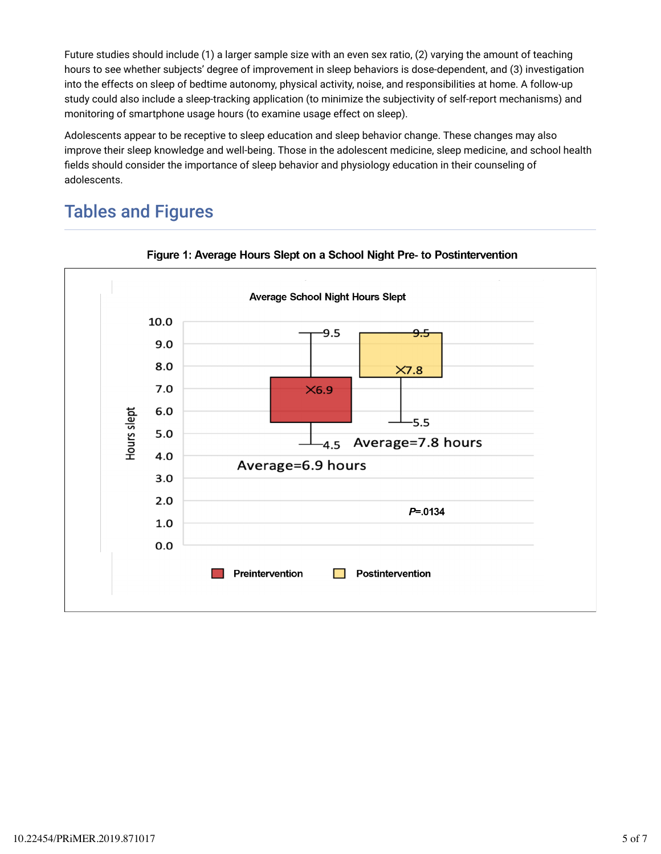Future studies should include (1) a larger sample size with an even sex ratio, (2) varying the amount of teaching hours to see whether subjects' degree of improvement in sleep behaviors is dose-dependent, and (3) investigation into the effects on sleep of bedtime autonomy, physical activity, noise, and responsibilities at home. A follow-up study could also include a sleep-tracking application (to minimize the subjectivity of self-report mechanisms) and monitoring of smartphone usage hours (to examine usage effect on sleep).

Adolescents appear to be receptive to sleep education and sleep behavior change. These changes may also improve their sleep knowledge and well-being. Those in the adolescent medicine, sleep medicine, and school health fields should consider the importance of sleep behavior and physiology education in their counseling of adolescents.

# Tables and Figures



#### Figure 1: Average Hours Slept on a School Night Pre- to Postintervention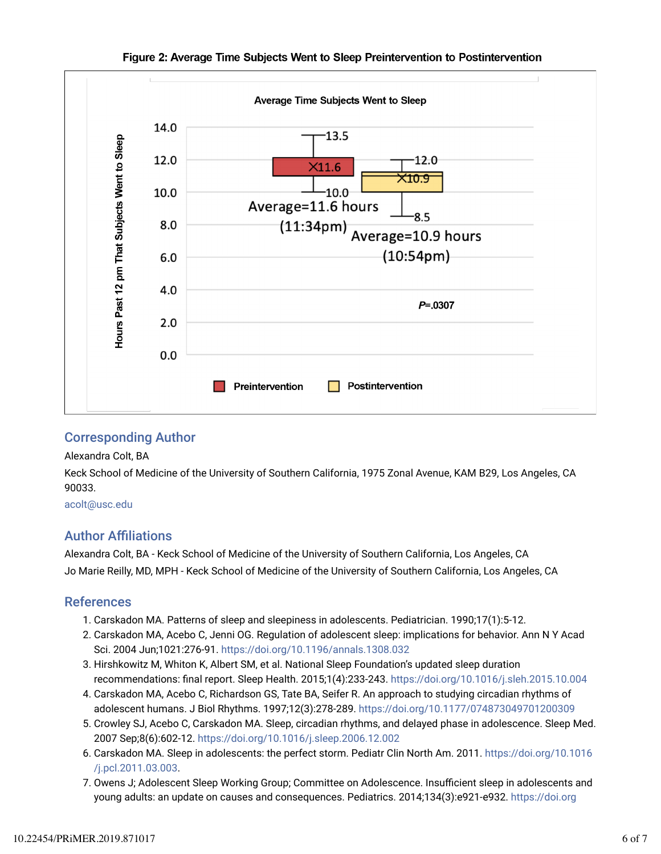

#### Figure 2: Average Time Subjects Went to Sleep Preintervention to Postintervention

#### Corresponding Author

#### Alexandra Colt, BA

Keck School of Medicine of the University of Southern California, 1975 Zonal Avenue, KAM B29, Los Angeles, CA 90033.

#### acolt@usc.edu

### **Author Affiliations**

Alexandra Colt, BA - Keck School of Medicine of the University of Southern California, Los Angeles, CA Jo Marie Reilly, MD, MPH - Keck School of Medicine of the University of Southern California, Los Angeles, CA

#### References

- 1. Carskadon MA. Patterns of sleep and sleepiness in adolescents. Pediatrician. 1990;17(1):5-12.
- 2. Carskadon MA, Acebo C, Jenni OG. Regulation of adolescent sleep: implications for behavior. Ann N Y Acad Sci. 2004 Jun;1021:276-91. https://doi.org/10.1196/annals.1308.032
- 3. Hirshkowitz M, Whiton K, Albert SM, et al. National Sleep Foundation's updated sleep duration recommendations: final report. Sleep Health. 2015;1(4):233-243. https://doi.org/10.1016/j.sleh.2015.10.004
- 4. Carskadon MA, Acebo C, Richardson GS, Tate BA, Seifer R. An approach to studying circadian rhythms of adolescent humans. J Biol Rhythms. 1997;12(3):278-289. https://doi.org/10.1177/074873049701200309
- 5. Crowley SJ, Acebo C, Carskadon MA. Sleep, circadian rhythms, and delayed phase in adolescence. Sleep Med. 2007 Sep;8(6):602-12. https://doi.org/10.1016/j.sleep.2006.12.002
- 6. Carskadon MA. Sleep in adolescents: the perfect storm. Pediatr Clin North Am. 2011. https://doi.org/10.1016 /j.pcl.2011.03.003.
- 7. Owens J; Adolescent Sleep Working Group; Committee on Adolescence. Insufficient sleep in adolescents and young adults: an update on causes and consequences. Pediatrics. 2014;134(3):e921-e932. https://doi.org